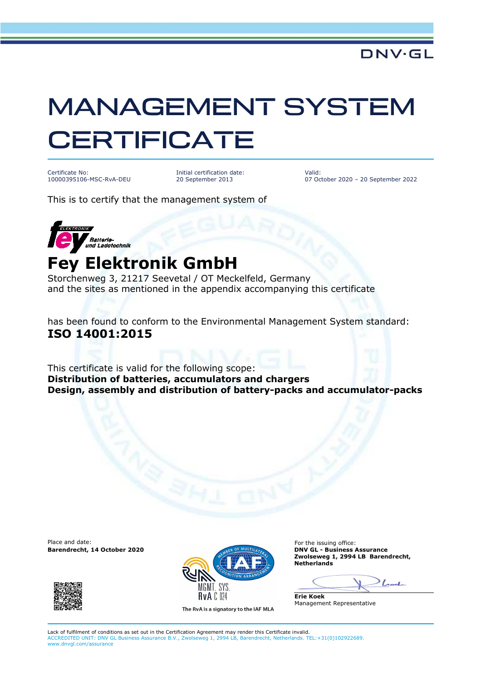## MANAGEMENT SYSTEM **CERTIFICATE**

Certificate No: 10000395106-MSC-RvA-DEU Initial certification date: 20 September 2013

Valid: 07 October 2020 – 20 September 2022

This is to certify that the management system of



## **Fey Elektronik GmbH**

Storchenweg 3, 21217 Seevetal / OT Meckelfeld, Germany and the sites as mentioned in the appendix accompanying this certificate

has been found to conform to the Environmental Management System standard: **ISO 14001:2015**

This certificate is valid for the following scope: **Distribution of batteries, accumulators and chargers Design, assembly and distribution of battery-packs and accumulator-packs** 

Place and date: **For the issuing office:** For the issuing office: **Barendrecht, 14 October 2020 DNV GL - Business Assurance** 





The RvA is a signatory to the IAF MLA

**Zwolseweg 1, 2994 LB Barendrecht, Netherlands** 

Look

**Erie Koek** Management Representative

Lack of fulfilment of conditions as set out in the Certification Agreement may render this Certificate invalid. ACCREDITED UNIT: DNV GL Business Assurance B.V., Zwolseweg 1, 2994 LB, Barendrecht, Netherlands. TEL:+31(0)102922689. www.dnvgl.com/assurance